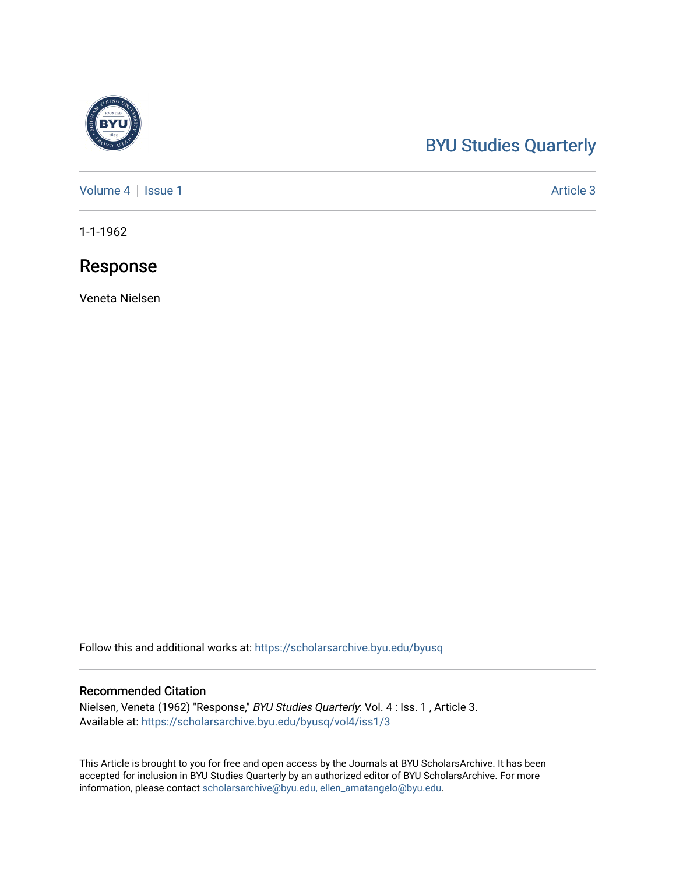### [BYU Studies Quarterly](https://scholarsarchive.byu.edu/byusq)

[Volume 4](https://scholarsarchive.byu.edu/byusq/vol4) | [Issue 1](https://scholarsarchive.byu.edu/byusq/vol4/iss1) Article 3

1-1-1962

### Response

Veneta Nielsen

Follow this and additional works at: [https://scholarsarchive.byu.edu/byusq](https://scholarsarchive.byu.edu/byusq?utm_source=scholarsarchive.byu.edu%2Fbyusq%2Fvol4%2Fiss1%2F3&utm_medium=PDF&utm_campaign=PDFCoverPages) 

### Recommended Citation

Nielsen, Veneta (1962) "Response," BYU Studies Quarterly: Vol. 4 : Iss. 1 , Article 3. Available at: [https://scholarsarchive.byu.edu/byusq/vol4/iss1/3](https://scholarsarchive.byu.edu/byusq/vol4/iss1/3?utm_source=scholarsarchive.byu.edu%2Fbyusq%2Fvol4%2Fiss1%2F3&utm_medium=PDF&utm_campaign=PDFCoverPages) 

This Article is brought to you for free and open access by the Journals at BYU ScholarsArchive. It has been accepted for inclusion in BYU Studies Quarterly by an authorized editor of BYU ScholarsArchive. For more information, please contact [scholarsarchive@byu.edu, ellen\\_amatangelo@byu.edu.](mailto:scholarsarchive@byu.edu,%20ellen_amatangelo@byu.edu)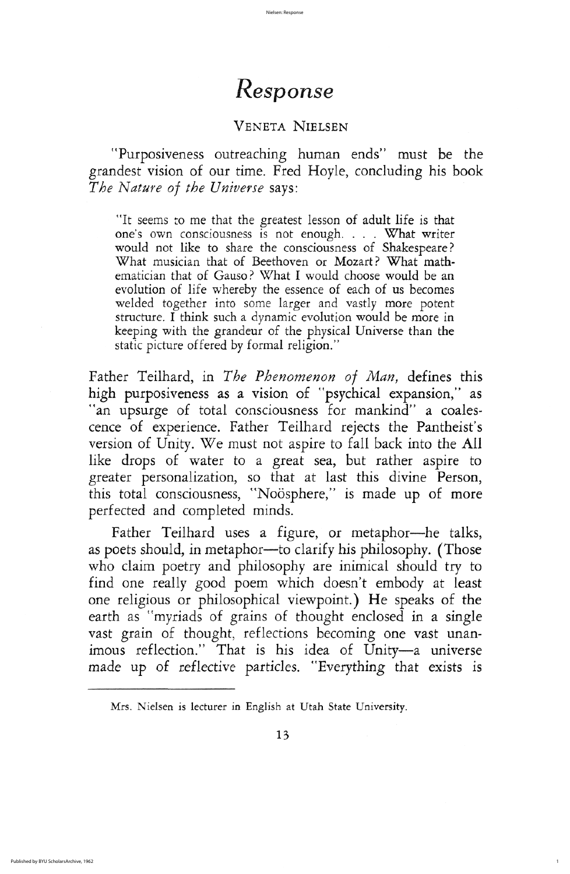## VENETA NIELSEN

"Purposiveness outreaching human ends" must be the grandest vision of our time. Fred Hoyle, concluding his book The Nature of the Universe says:

It seems to me that the greatest lesson of adult life is that one's own consciousness is not enough. . . . What writer would not like to share the consciousness of Shakespeare? What musician that of Beethoven or Mozart? What mathematician that of Gauso? What I would choose would be an evolution of life whereby the essence of each of us becomes welded together into some larger and vastly more potent structure. I think such a dynamic evolution would be more in keeping with the grandeur of the physical Universe than the static picture offered by formal religion."

Father Teilhard, in The Phenomenon of Man, defines this high purposiveness as a vision of "psychical expansion," as an upsurge of total consciousness for mankind" a coalescence of experience. Father Teilhard rejects the Pantheist's version of Unity. We must not aspire to fall back into the All like drops of water to a great sea, but rather aspire to greater personalization, so that at last this divine Person, this total consciousness, "Noösphere," is made up of more perfected and completed minds Father Teilhard uses a figure, or metaphor—he talks, as poets should, in metaphor—to clarify his philosophy. (Those who claim poetry and philosophy are inimical should try to find one really good poem which doesn't embody at least one religious or philosophical viewpoint.) He speaks of the earth as "myriads of grains of thought enclosed in a single vast grain of thought, reflections becoming one vast unanimous reflection." That is his idea of Unity-a universe made up of reflective particles. "Everything that exists is

Mrs. Nielsen is lecturer in English at Utah State University.

13

1

# Response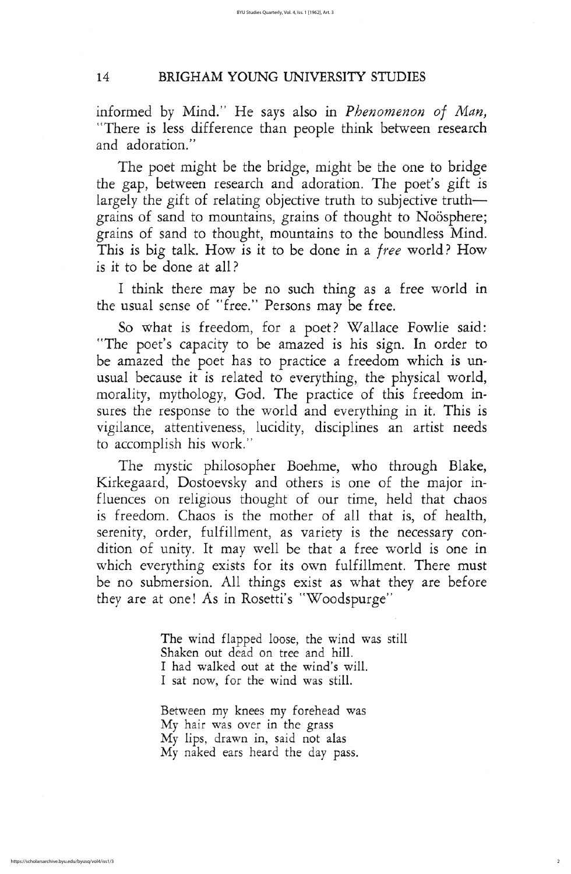The poet might be the bridge, might be the one to bridge the gap, between research and adoration. The poet's gift is largely the gift of relating objective truth to subjective truth grains of sand to mountains, grains of thought to Noösphere; grains of sand to thought, mountains to the boundless Mind. This is big talk. How is it to be done in a free world? How is it to be done at all

I think there may be no such thing as a free world in the usual sense of "free." Persons may be free.

So what is freedom, for a poet? Wallace Fowlie said: "The poet's capacity to be amazed is his sign. In order to be amazed the poet has to practice a freedom which is unusual because it is related to everything, the physical world, morality, mythology, God. The practice of this freedom insures the response to the world and everything in it. This is vigilance, attentiveness, lucidity, disciplines an artist needs to accomplish his work

The mystic philosopher Boehme, who through Blake, Kirkegaard, Dostoevsky and others is one of the major influences on religious thought of our time, held that chaos is freedom. Chaos is the mother of all that is, of health, serenity, order, fulfillment, as variety is the necessary condition of unity. It may well be that a free world is one in which everything exists for its own fulfillment. There must be no submersion. All things exist as what they are before they are at one! As in Rosetti's "Woodspurge"

> The wind flapped loose, the wind was still Shaken out dead on tree and hill. I had walked out at the wind's will. I sat now, for the wind was still.

between my knees my forehead was My hair was over in the grass My lips, drawn in, said not alas My naked ears heard the day pass.

2

## 14 BRIGHAM YOUNG UNIVERSITY STUDIES

informed by Mind." He says also in *Phenomenon of Man*, There is less difference than people think between research and adoration."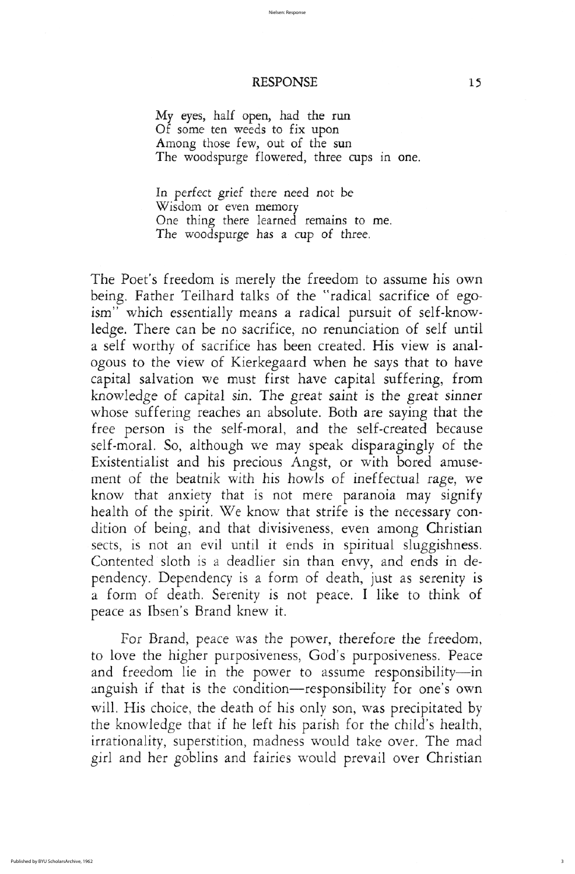For Brand, peace was the power, therefore the freedom, to love the higher purposiveness, God's purposiveness. Peace and freedom lie in the power to assume responsibility-in anguish if that is the condition-responsibility for one's own will. His choice, the death of his only son, was precipitated by the knowledge that if he left his parish for the child's health, irrationality, superstition, madness would take over. The mad girl and her goblins and fairies would prevail over christian

3

## RESPONSE 15

My eyes, half open, had the run of some ten weeds to fix upon Among those few, out of the sun The woodspurge flowered, three cups in one.

In perfect grief there need not be wisdom or even memory One thing there learned remains to me. The woodspurge has a cup of three.

The Poet's freedom is merely the freedom to assume his own being. Father Teilhard talks of the "radical sacrifice of egoism" which essentially means a radical pursuit of self-knowledge. There can be no sacrifice, no renunciation of self until a self worthy of sacrifice has been created. His view is analogous to the view of kierkegaard when he says that to have capital salvation we must first have capital suffering, from knowledge of capital sin. The great saint is the great sinner whose suffering reaches an absolute. Both are saying that the free person is the self-moral, and the self-created because self-moral. So, although we may speak disparagingly of the Existentialist and his precious Angst, or with bored amusement of the beatnik with his howls of ineffectual rage, we know that anxiety that is not mere paranoia may signify health of the spirit. We know that strife is the necessary condition of being, and that divisiveness, even among Christian sects, is not an evil until it ends in spiritual sluggishness. Contented sloth is a deadlier sin than envy, and ends in dependency. Dependency is a form of death, just as serenity is a form of death. Serenity is not peace. I like to think of peace as Ibsen's Brand knew it.